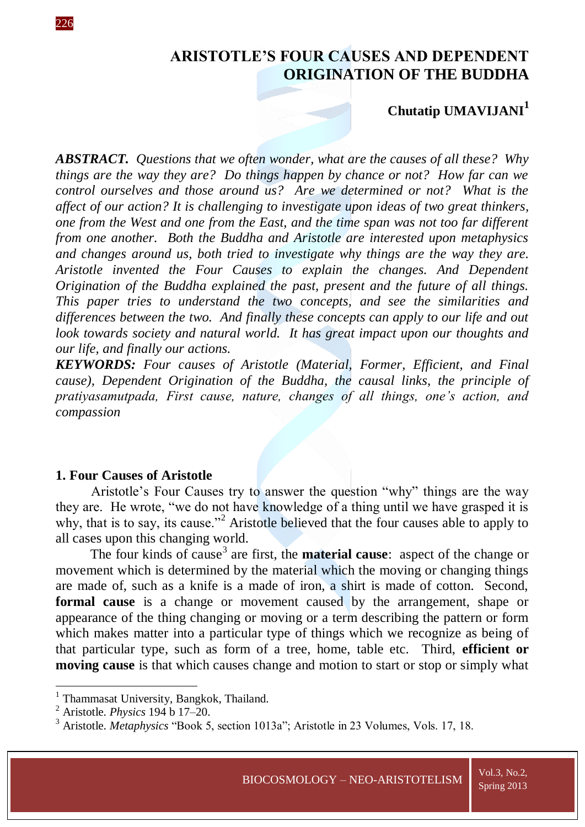# **ARISTOTLE'S FOUR CAUSES AND DEPENDENT ORIGINATION OF THE BUDDHA**

## **Chutatip UMAVIJANI<sup>1</sup>**

*ABSTRACT. Questions that we often wonder, what are the causes of all these? Why things are the way they are? Do things happen by chance or not? How far can we control ourselves and those around us? Are we determined or not? What is the affect of our action? It is challenging to investigate upon ideas of two great thinkers, one from the West and one from the East, and the time span was not too far different from one another. Both the Buddha and Aristotle are interested upon metaphysics and changes around us, both tried to investigate why things are the way they are. Aristotle invented the Four Causes to explain the changes. And Dependent Origination of the Buddha explained the past, present and the future of all things. This paper tries to understand the two concepts, and see the similarities and differences between the two. And finally these concepts can apply to our life and out look towards society and natural world. It has great impact upon our thoughts and our life, and finally our actions.* 

*KEYWORDS: Four causes of Aristotle (Material, Former, Efficient, and Final cause), Dependent Origination of the Buddha, the causal links, the principle of pratiyasamutpada, First cause, nature, changes of all things, one's action, and compassion*

### **1. Four Causes of Aristotle**

Aristotle's Four Causes try to answer the question "why" things are the way they are. He wrote, "we do not have knowledge of a thing until we have grasped it is why, that is to say, its cause."<sup>2</sup> Aristotle believed that the four causes able to apply to all cases upon this changing world.

The four kinds of cause<sup>3</sup> are first, the **material cause**: aspect of the change or movement which is determined by the material which the moving or changing things are made of, such as a knife is a made of iron, a shirt is made of cotton. Second, **formal cause** is a change or movement caused by the arrangement, shape or appearance of the thing changing or moving or a term describing the pattern or form which makes matter into a particular type of things which we recognize as being of that particular type, such as form of a tree, home, table etc. Third, **efficient or moving cause** is that which causes change and motion to start or stop or simply what

<sup>1&</sup>lt;br><sup>1</sup> Thammasat University, Bangkok, Thailand.

<sup>2</sup> Aristotle. *Physics* 194 b 17–20.

<sup>3</sup> Aristotle. *Metaphysics* "Book 5, section 1013a"; Aristotle in 23 Volumes, Vols. 17, 18.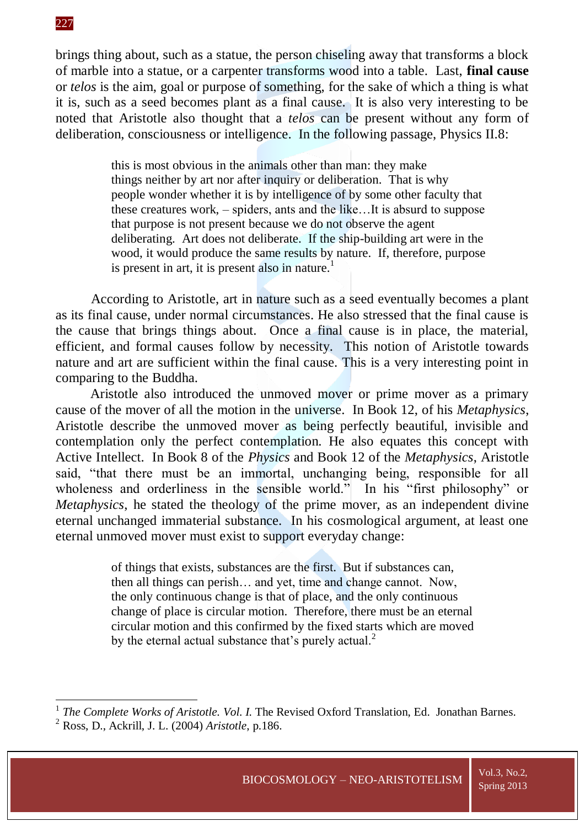brings thing about, such as a statue, the person chiseling away that transforms a block of marble into a statue, or a carpenter transforms wood into a table. Last, **final cause** or *telos* is the aim, goal or purpose of something, for the sake of which a thing is what it is, such as a seed becomes plant as a final cause. It is also very interesting to be noted that Aristotle also thought that a *telos* can be present without any form of deliberation, consciousness or intelligence. In the following passage, Physics II.8:

> this is most obvious in the animals other than man: they make things neither by art nor after inquiry or deliberation. That is why people wonder whether it is by intelligence of by some other faculty that these creatures work, – spiders, ants and the like…It is absurd to suppose that purpose is not present because we do not observe the agent deliberating. Art does not deliberate. If the ship-building art were in the wood, it would produce the same results by nature. If, therefore, purpose is present in art, it is present also in nature.<sup>1</sup>

According to Aristotle, art in nature such as a seed eventually becomes a plant as its final cause, under normal circumstances. He also stressed that the final cause is the cause that brings things about. Once a final cause is in place, the material, efficient, and formal causes follow by necessity. This notion of Aristotle towards nature and art are sufficient within the final cause. This is a very interesting point in comparing to the Buddha.

Aristotle also introduced the unmoved mover or prime mover as a primary cause of the mover of all the motion in the universe. In Book 12, of his *Metaphysics*, Aristotle describe the unmoved mover as being perfectly beautiful, invisible and contemplation only the perfect contemplation. He also equates this concept with Active Intellect. In Book 8 of the *Physics* and Book 12 of the *Metaphysics*, Aristotle said, "that there must be an immortal, unchanging being, responsible for all wholeness and orderliness in the sensible world." In his "first philosophy" or *Metaphysics*, he stated the theology of the prime mover, as an independent divine eternal unchanged immaterial substance. In his cosmological argument, at least one eternal unmoved mover must exist to support everyday change:

> of things that exists, substances are the first. But if substances can, then all things can perish… and yet, time and change cannot. Now, the only continuous change is that of place, and the only continuous change of place is circular motion. Therefore, there must be an eternal circular motion and this confirmed by the fixed starts which are moved by the eternal actual substance that's purely actual.<sup>2</sup>

 1 *The Complete Works of Aristotle. Vol. I.* The Revised Oxford Translation, Ed. Jonathan Barnes.

<sup>2</sup> Ross, D., Ackrill, J. L. (2004) *Aristotle*, p.186.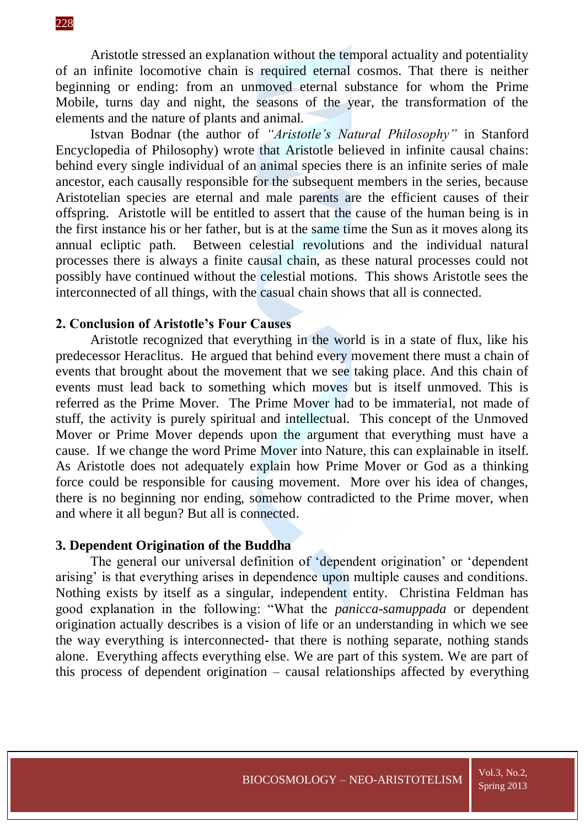Aristotle stressed an explanation without the temporal actuality and potentiality of an infinite locomotive chain is required eternal cosmos. That there is neither beginning or ending: from an unmoved eternal substance for whom the Prime Mobile, turns day and night, the seasons of the year, the transformation of the elements and the nature of plants and animal.

Istvan Bodnar (the author of *"Aristotle's Natural Philosophy"* in Stanford Encyclopedia of Philosophy) wrote that Aristotle believed in infinite causal chains: behind every single individual of an animal species there is an infinite series of male ancestor, each causally responsible for the subsequent members in the series, because Aristotelian species are eternal and male parents are the efficient causes of their offspring. Aristotle will be entitled to assert that the cause of the human being is in the first instance his or her father, but is at the same time the Sun as it moves along its annual ecliptic path. Between celestial revolutions and the individual natural processes there is always a finite causal chain, as these natural processes could not possibly have continued without the celestial motions. This shows Aristotle sees the interconnected of all things, with the casual chain shows that all is connected.

### **2. Conclusion of Aristotle's Four Causes**

Aristotle recognized that everything in the world is in a state of flux, like his predecessor Heraclitus. He argued that behind every movement there must a chain of events that brought about the movement that we see taking place. And this chain of events must lead back to something which moves but is itself unmoved. This is referred as the Prime Mover. The Prime Mover had to be immaterial, not made of stuff, the activity is purely spiritual and intellectual. This concept of the Unmoved Mover or Prime Mover depends upon the argument that everything must have a cause. If we change the word Prime Mover into Nature, this can explainable in itself. As Aristotle does not adequately explain how Prime Mover or God as a thinking force could be responsible for causing movement. More over his idea of changes, there is no beginning nor ending, somehow contradicted to the Prime mover, when and where it all begun? But all is connected.

#### **3. Dependent Origination of the Buddha**

The general our universal definition of 'dependent origination' or 'dependent arising' is that everything arises in dependence upon multiple causes and conditions. Nothing exists by itself as a singular, independent entity. Christina Feldman has good explanation in the following: "What the *panicca-samuppada* or dependent origination actually describes is a vision of life or an understanding in which we see the way everything is interconnected- that there is nothing separate, nothing stands alone. Everything affects everything else. We are part of this system. We are part of this process of dependent origination – causal relationships affected by everything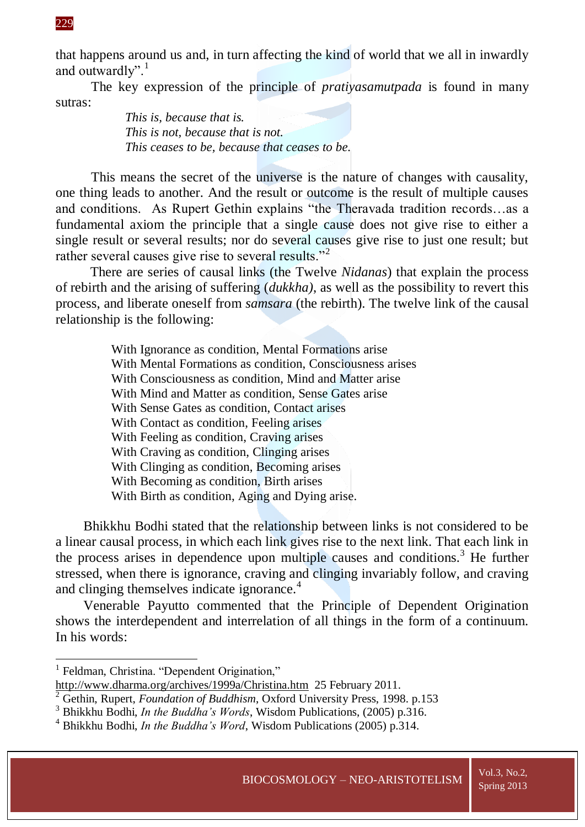that happens around us and, in turn affecting the kind of world that we all in inwardly and outwardly".<sup>1</sup>

The key expression of the principle of *pratiyasamutpada* is found in many sutras:

> *This is, because that is. This is not, because that is not. This ceases to be, because that ceases to be.*

This means the secret of the universe is the nature of changes with causality, one thing leads to another. And the result or outcome is the result of multiple causes and conditions. As Rupert Gethin explains "the Theravada tradition records…as a fundamental axiom the principle that a single cause does not give rise to either a single result or several results; nor do several causes give rise to just one result; but rather several causes give rise to several results."<sup>2</sup>

There are series of causal links (the Twelve *Nidanas*) that explain the process of rebirth and the arising of suffering (*dukkha)*, as well as the possibility to revert this process, and liberate oneself from *samsara* (the rebirth). The twelve link of the causal relationship is the following:

> With Ignorance as condition, Mental Formations arise With Mental Formations as condition, Consciousness arises With Consciousness as condition, Mind and Matter arise With Mind and Matter as condition, Sense Gates arise With Sense Gates as condition, Contact arises With Contact as condition, Feeling arises With Feeling as condition, Craving arises With Craving as condition, Clinging arises With Clinging as condition, Becoming arises With Becoming as condition, Birth arises With Birth as condition, Aging and Dying arise.

Bhikkhu Bodhi stated that the relationship between links is not considered to be a linear causal process, in which each link gives rise to the next link. That each link in the process arises in dependence upon multiple causes and conditions.<sup>3</sup> He further stressed, when there is ignorance, craving and clinging invariably follow, and craving and clinging themselves indicate ignorance.<sup>4</sup>

Venerable Payutto commented that the Principle of Dependent Origination shows the interdependent and interrelation of all things in the form of a continuum. In his words:

#### 229

-

<sup>&</sup>lt;sup>1</sup> Feldman, Christina. "Dependent Origination," <http://www.dharma.org/archives/1999a/Christina.htm>25 February 2011.

<sup>2</sup> Gethin, Rupert, *Foundation of Buddhism*, Oxford University Press, 1998. p.153

<sup>3</sup> Bhikkhu Bodhi, *In the Buddha's Words*, Wisdom Publications, (2005) p.316.

<sup>4</sup> Bhikkhu Bodhi, *In the Buddha's Word*, Wisdom Publications (2005) p.314.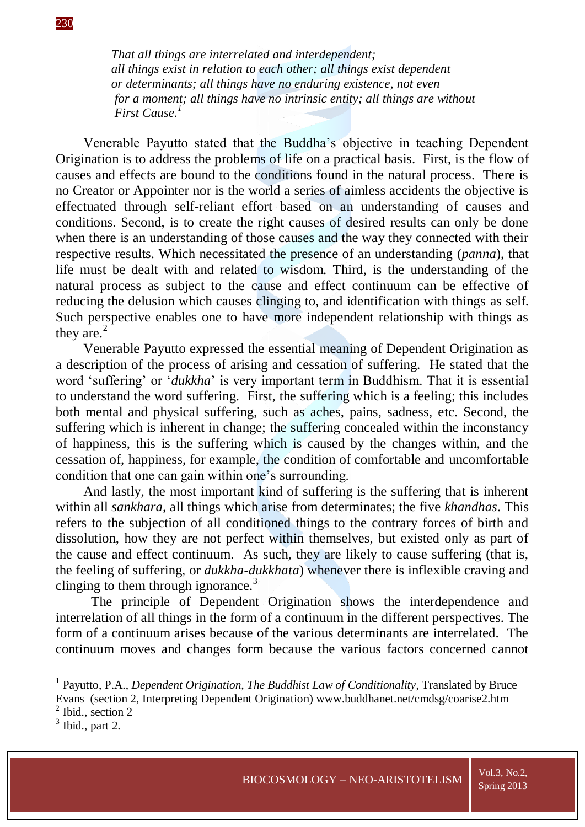*That all things are interrelated and interdependent; all things exist in relation to each other; all things exist dependent or determinants; all things have no enduring existence, not even for a moment; all things have no intrinsic entity; all things are without First Cause.<sup>1</sup>*

Venerable Payutto stated that the Buddha's objective in teaching Dependent Origination is to address the problems of life on a practical basis. First, is the flow of causes and effects are bound to the conditions found in the natural process. There is no Creator or Appointer nor is the world a series of aimless accidents the objective is effectuated through self-reliant effort based on an understanding of causes and conditions. Second, is to create the right causes of desired results can only be done when there is an understanding of those causes and the way they connected with their respective results. Which necessitated the presence of an understanding (*panna*), that life must be dealt with and related to wisdom. Third, is the understanding of the natural process as subject to the cause and effect continuum can be effective of reducing the delusion which causes clinging to, and identification with things as self. Such perspective enables one to have more independent relationship with things as they are. $<sup>2</sup>$ </sup>

Venerable Payutto expressed the essential meaning of Dependent Origination as a description of the process of arising and cessation of suffering. He stated that the word 'suffering' or '*dukkha*' is very important term in Buddhism. That it is essential to understand the word suffering. First, the suffering which is a feeling; this includes both mental and physical suffering, such as aches, pains, sadness, etc. Second, the suffering which is inherent in change; the suffering concealed within the inconstancy of happiness, this is the suffering which is caused by the changes within, and the cessation of, happiness, for example, the condition of comfortable and uncomfortable condition that one can gain within one's surrounding.

And lastly, the most important kind of suffering is the suffering that is inherent within all *sankhara,* all things which arise from determinates; the five *khandhas*. This refers to the subjection of all conditioned things to the contrary forces of birth and dissolution, how they are not perfect within themselves, but existed only as part of the cause and effect continuum. As such, they are likely to cause suffering (that is, the feeling of suffering, or *dukkha-dukkhata*) whenever there is inflexible craving and clinging to them through ignorance.<sup>3</sup>

The principle of Dependent Origination shows the interdependence and interrelation of all things in the form of a continuum in the different perspectives. The form of a continuum arises because of the various determinants are interrelated. The continuum moves and changes form because the various factors concerned cannot

-

<sup>&</sup>lt;sup>1</sup> Payutto, P.A., *Dependent Origination, The Buddhist Law of Conditionality*, Translated by Bruce Evans (section 2, Interpreting Dependent Origination) www.buddhanet.net/cmdsg/coarise2.htm

<sup>&</sup>lt;sup>2</sup> Ibid., section 2

 $3$  Ibid., part 2.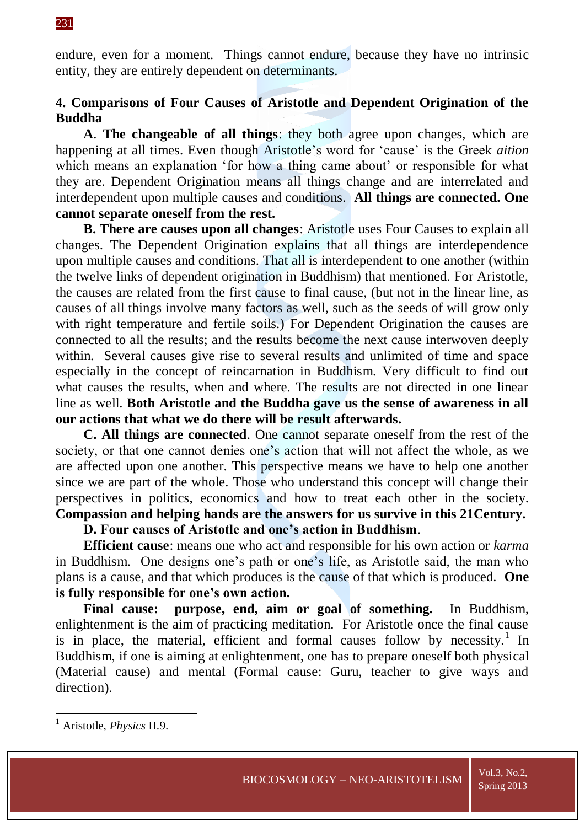endure, even for a moment. Things cannot endure, because they have no intrinsic entity, they are entirely dependent on determinants.

## **4. Comparisons of Four Causes of Aristotle and Dependent Origination of the Buddha**

**A**. **The changeable of all things**: they both agree upon changes, which are happening at all times. Even though Aristotle's word for 'cause' is the Greek *aition* which means an explanation 'for how a thing came about' or responsible for what they are. Dependent Origination means all things change and are interrelated and interdependent upon multiple causes and conditions. **All things are connected. One cannot separate oneself from the rest.**

**B. There are causes upon all changes**: Aristotle uses Four Causes to explain all changes. The Dependent Origination explains that all things are interdependence upon multiple causes and conditions. That all is interdependent to one another (within the twelve links of dependent origination in Buddhism) that mentioned. For Aristotle, the causes are related from the first cause to final cause, (but not in the linear line, as causes of all things involve many factors as well, such as the seeds of will grow only with right temperature and fertile soils.) For Dependent Origination the causes are connected to all the results; and the results become the next cause interwoven deeply within. Several causes give rise to several results and unlimited of time and space especially in the concept of reincarnation in Buddhism. Very difficult to find out what causes the results, when and where. The results are not directed in one linear line as well. **Both Aristotle and the Buddha gave us the sense of awareness in all our actions that what we do there will be result afterwards.**

**C. All things are connected**. One cannot separate oneself from the rest of the society, or that one cannot denies one's action that will not affect the whole, as we are affected upon one another. This perspective means we have to help one another since we are part of the whole. Those who understand this concept will change their perspectives in politics, economics and how to treat each other in the society. **Compassion and helping hands are the answers for us survive in this 21Century.**

## **D. Four causes of Aristotle and one's action in Buddhism**.

**Efficient cause**: means one who act and responsible for his own action or *karma* in Buddhism. One designs one's path or one's life, as Aristotle said, the man who plans is a cause, and that which produces is the cause of that which is produced. **One is fully responsible for one's own action.**

**Final cause: purpose, end, aim or goal of something.** In Buddhism, enlightenment is the aim of practicing meditation. For Aristotle once the final cause is in place, the material, efficient and formal causes follow by necessity.<sup>1</sup> In Buddhism, if one is aiming at enlightenment, one has to prepare oneself both physical (Material cause) and mental (Formal cause: Guru, teacher to give ways and direction).

**.** 

<sup>1</sup> Aristotle, *Physics* II.9.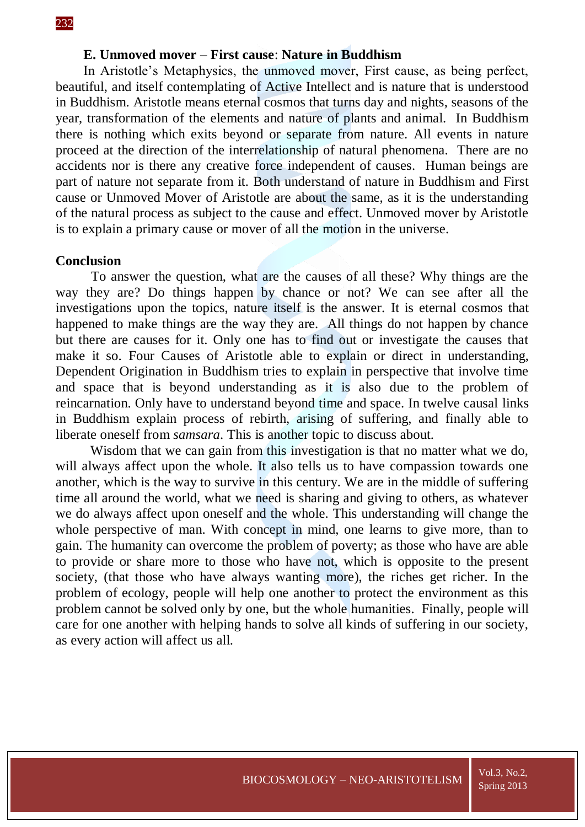### **E. Unmoved mover – First cause**: **Nature in Buddhism**

In Aristotle's Metaphysics, the unmoved mover, First cause, as being perfect, beautiful, and itself contemplating of Active Intellect and is nature that is understood in Buddhism. Aristotle means eternal cosmos that turns day and nights, seasons of the year, transformation of the elements and nature of plants and animal. In Buddhism there is nothing which exits beyond or separate from nature. All events in nature proceed at the direction of the interrelationship of natural phenomena. There are no accidents nor is there any creative force independent of causes. Human beings are part of nature not separate from it. Both understand of nature in Buddhism and First cause or Unmoved Mover of Aristotle are about the same, as it is the understanding of the natural process as subject to the cause and effect. Unmoved mover by Aristotle is to explain a primary cause or mover of all the motion in the universe.

### **Conclusion**

To answer the question, what are the causes of all these? Why things are the way they are? Do things happen by chance or not? We can see after all the investigations upon the topics, nature itself is the answer. It is eternal cosmos that happened to make things are the way they are. All things do not happen by chance but there are causes for it. Only one has to find out or investigate the causes that make it so. Four Causes of Aristotle able to explain or direct in understanding, Dependent Origination in Buddhism tries to explain in perspective that involve time and space that is beyond understanding as it is also due to the problem of reincarnation. Only have to understand beyond time and space. In twelve causal links in Buddhism explain process of rebirth, arising of suffering, and finally able to liberate oneself from *samsara*. This is another topic to discuss about.

Wisdom that we can gain from this investigation is that no matter what we do, will always affect upon the whole. It also tells us to have compassion towards one another, which is the way to survive in this century. We are in the middle of suffering time all around the world, what we need is sharing and giving to others, as whatever we do always affect upon oneself and the whole. This understanding will change the whole perspective of man. With concept in mind, one learns to give more, than to gain. The humanity can overcome the problem of poverty; as those who have are able to provide or share more to those who have not, which is opposite to the present society, (that those who have always wanting more), the riches get richer. In the problem of ecology, people will help one another to protect the environment as this problem cannot be solved only by one, but the whole humanities. Finally, people will care for one another with helping hands to solve all kinds of suffering in our society, as every action will affect us all.